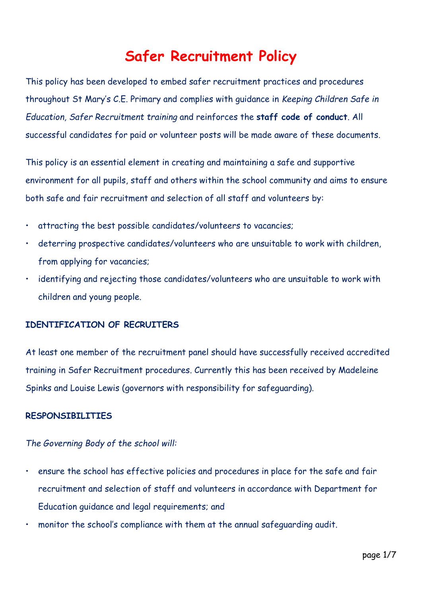# **Safer Recruitment Policy**

This policy has been developed to embed safer recruitment practices and procedures throughout St Mary's C.E. Primary and complies with guidance in *Keeping Children Safe in Education, Safer Recruitment training* and reinforces the **staff code of conduct**. All successful candidates for paid or volunteer posts will be made aware of these documents.

This policy is an essential element in creating and maintaining a safe and supportive environment for all pupils, staff and others within the school community and aims to ensure both safe and fair recruitment and selection of all staff and volunteers by:

- attracting the best possible candidates/volunteers to vacancies;
- deterring prospective candidates/volunteers who are unsuitable to work with children, from applying for vacancies;
- identifying and rejecting those candidates/volunteers who are unsuitable to work with children and young people.

#### **IDENTIFICATION OF RECRUITERS**

At least one member of the recruitment panel should have successfully received accredited training in Safer Recruitment procedures. Currently this has been received by Madeleine Spinks and Louise Lewis (governors with responsibility for safeguarding).

#### **RESPONSIBILITIES**

#### *The Governing Body of the school will:*

- ensure the school has effective policies and procedures in place for the safe and fair recruitment and selection of staff and volunteers in accordance with Department for Education guidance and legal requirements; and
- monitor the school's compliance with them at the annual safeguarding audit.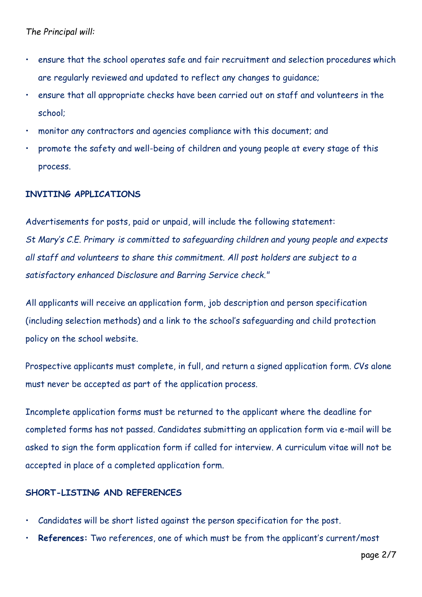- ensure that the school operates safe and fair recruitment and selection procedures which are regularly reviewed and updated to reflect any changes to guidance;
- ensure that all appropriate checks have been carried out on staff and volunteers in the school;
- monitor any contractors and agencies compliance with this document; and
- promote the safety and well-being of children and young people at every stage of this process.

## **INVITING APPLICATIONS**

Advertisements for posts, paid or unpaid, will include the following statement: *St Mary's C.E. Primary is committed to safeguarding children and young people and expects all staff and volunteers to share this commitment. All post holders are subject to a satisfactory enhanced Disclosure and Barring Service check."*

All applicants will receive an application form, job description and person specification (including selection methods) and a link to the school's safeguarding and child protection policy on the school website.

Prospective applicants must complete, in full, and return a signed application form. CVs alone must never be accepted as part of the application process.

Incomplete application forms must be returned to the applicant where the deadline for completed forms has not passed. Candidates submitting an application form via e-mail will be asked to sign the form application form if called for interview. A curriculum vitae will not be accepted in place of a completed application form.

## **SHORT-LISTING AND REFERENCES**

- Candidates will be short listed against the person specification for the post.
- **References:** Two references, one of which must be from the applicant's current/most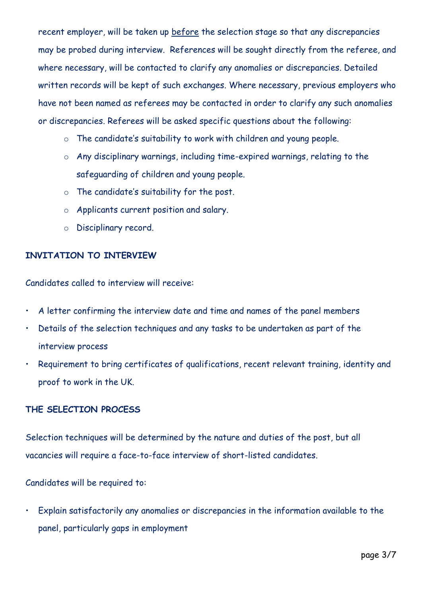recent employer, will be taken up before the selection stage so that any discrepancies may be probed during interview. References will be sought directly from the referee, and where necessary, will be contacted to clarify any anomalies or discrepancies. Detailed written records will be kept of such exchanges. Where necessary, previous employers who have not been named as referees may be contacted in order to clarify any such anomalies or discrepancies. Referees will be asked specific questions about the following:

- o The candidate's suitability to work with children and young people.
- o Any disciplinary warnings, including time-expired warnings, relating to the safeguarding of children and young people.
- o The candidate's suitability for the post.
- o Applicants current position and salary.
- o Disciplinary record.

## **INVITATION TO INTERVIEW**

Candidates called to interview will receive:

- A letter confirming the interview date and time and names of the panel members
- Details of the selection techniques and any tasks to be undertaken as part of the interview process
- Requirement to bring certificates of qualifications, recent relevant training, identity and proof to work in the UK.

## **THE SELECTION PROCESS**

Selection techniques will be determined by the nature and duties of the post, but all vacancies will require a face-to-face interview of short-listed candidates.

Candidates will be required to:

• Explain satisfactorily any anomalies or discrepancies in the information available to the panel, particularly gaps in employment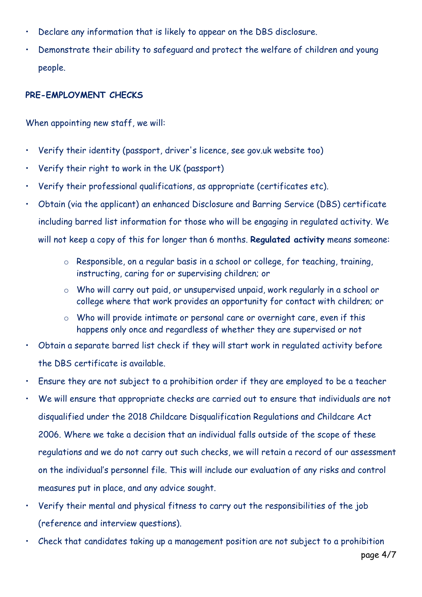- Declare any information that is likely to appear on the DBS disclosure.
- Demonstrate their ability to safeguard and protect the welfare of children and young people.

## **PRE-EMPLOYMENT CHECKS**

When appointing new staff, we will:

- Verify their identity (passport, driver's licence, see gov.uk website too)
- Verify their right to work in the UK (passport)
- Verify their professional qualifications, as appropriate (certificates etc).
- Obtain (via the applicant) an enhanced Disclosure and Barring Service (DBS) certificate including barred list information for those who will be engaging in regulated activity. We will not keep a copy of this for longer than 6 months. **Regulated activity** means someone:
	- o Responsible, on a regular basis in a school or college, for teaching, training, instructing, caring for or supervising children; or
	- o Who will carry out paid, or unsupervised unpaid, work regularly in a school or college where that work provides an opportunity for contact with children; or
	- o Who will provide intimate or personal care or overnight care, even if this happens only once and regardless of whether they are supervised or not
- Obtain a separate barred list check if they will start work in regulated activity before the DBS certificate is available.
- Ensure they are not subject to a prohibition order if they are employed to be a teacher
- We will ensure that appropriate checks are carried out to ensure that individuals are not disqualified under the 2018 Childcare Disqualification Regulations and Childcare Act 2006. Where we take a decision that an individual falls outside of the scope of these regulations and we do not carry out such checks, we will retain a record of our assessment on the individual's personnel file. This will include our evaluation of any risks and control measures put in place, and any advice sought.
- Verify their mental and physical fitness to carry out the responsibilities of the job (reference and interview questions).
- Check that candidates taking up a management position are not subject to a prohibition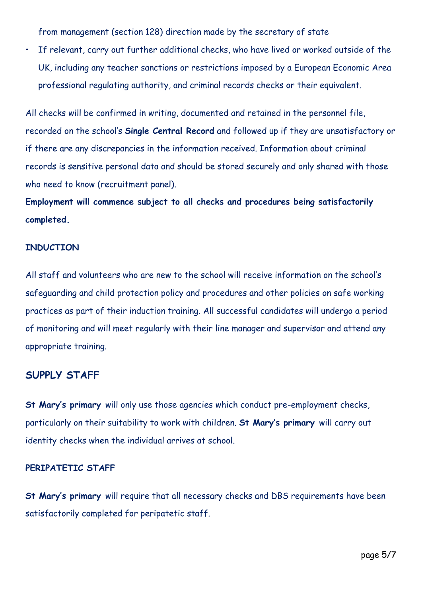from management (section 128) direction made by the secretary of state

If relevant, carry out further additional checks, who have lived or worked outside of the UK, including any teacher sanctions or restrictions imposed by a European Economic Area professional regulating authority, and criminal records checks or their equivalent.

All checks will be confirmed in writing, documented and retained in the personnel file, recorded on the school's **Single Central Record** and followed up if they are unsatisfactory or if there are any discrepancies in the information received. Information about criminal records is sensitive personal data and should be stored securely and only shared with those who need to know (recruitment panel).

**Employment will commence subject to all checks and procedures being satisfactorily completed.**

#### **INDUCTION**

All staff and volunteers who are new to the school will receive information on the school's safeguarding and child protection policy and procedures and other policies on safe working practices as part of their induction training. All successful candidates will undergo a period of monitoring and will meet regularly with their line manager and supervisor and attend any appropriate training.

#### **SUPPLY STAFF**

**St Mary's primary** will only use those agencies which conduct pre-employment checks, particularly on their suitability to work with children. **St Mary's primary** will carry out identity checks when the individual arrives at school.

#### **PERIPATETIC STAFF**

**St Mary's primary** will require that all necessary checks and DBS requirements have been satisfactorily completed for peripatetic staff.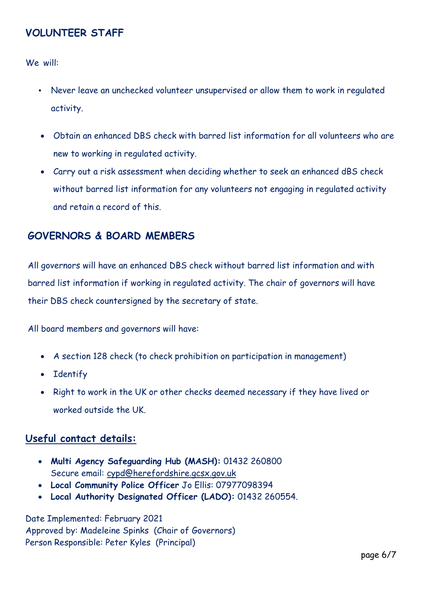# **VOLUNTEER STAFF**

We will:

- Never leave an unchecked volunteer unsupervised or allow them to work in regulated activity.
- Obtain an enhanced DBS check with barred list information for all volunteers who are new to working in regulated activity.
- Carry out a risk assessment when deciding whether to seek an enhanced dBS check without barred list information for any volunteers not engaging in regulated activity and retain a record of this.

# **GOVERNORS & BOARD MEMBERS**

All governors will have an enhanced DBS check without barred list information and with barred list information if working in regulated activity. The chair of governors will have their DBS check countersigned by the secretary of state.

All board members and governors will have:

- A section 128 check (to check prohibition on participation in management)
- Identify
- Right to work in the UK or other checks deemed necessary if they have lived or worked outside the UK.

## **Useful contact details:**

- **Multi Agency Safeguarding Hub (MASH):** 01432 260800 Secure email: cypd@herefordshire.gcsx.gov.uk
- **Local Community Police Officer** Jo Ellis: 07977098394
- **Local Authority Designated Officer (LADO):** 01432 260554.

Date Implemented: February 2021 Approved by: Madeleine Spinks (Chair of Governors) Person Responsible: Peter Kyles (Principal)